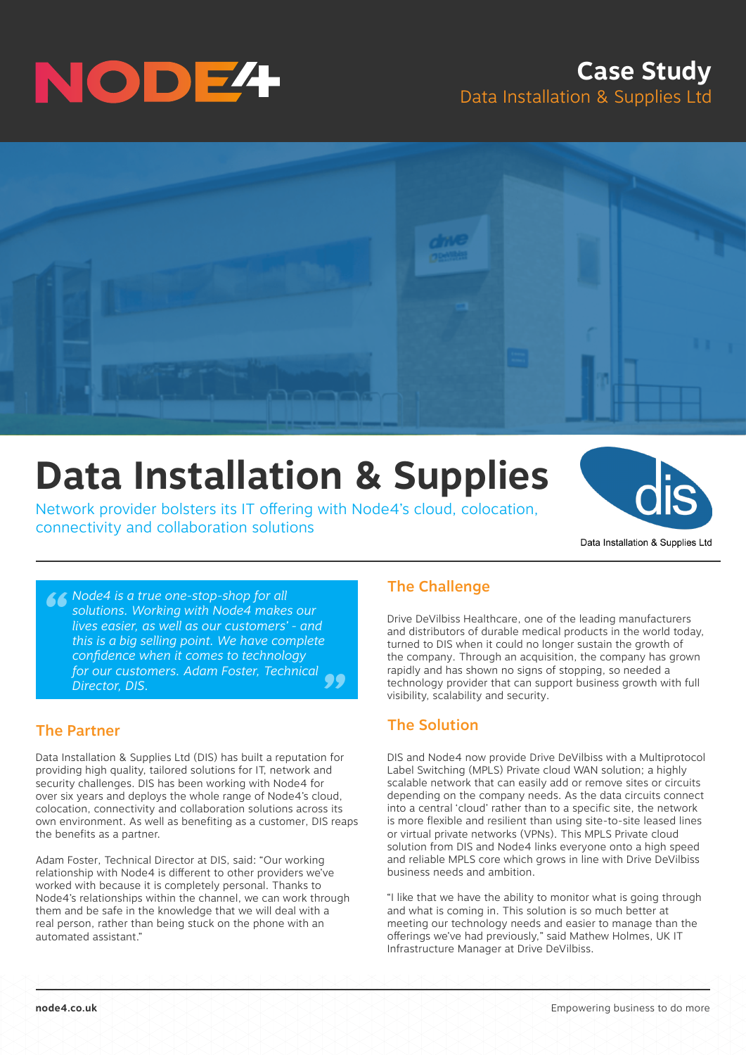

## **Case Study** Data Installation & Supplies Ltd



# **Data Installation & Supplies**

Network provider bolsters its IT offering with Node4's cloud, colocation, connectivity and collaboration solutions



*Mode4 is a true one-stop-shop for all solutions. Working with Node4 makes*<br>lives easier, as well as our customers'<br>this is a hig selling point. We have con *" solutions. Working with Node4 makes our lives easier, as well as our customers' - and this is a big selling point. We have complete confidence when it comes to technology for our customers. Adam Foster, Technical Director, DIS.*

### The Partner

Data Installation & Supplies Ltd (DIS) has built a reputation for providing high quality, tailored solutions for IT, network and security challenges. DIS has been working with Node4 for over six years and deploys the whole range of Node4's cloud, colocation, connectivity and collaboration solutions across its own environment. As well as benefiting as a customer, DIS reaps the benefits as a partner.

Adam Foster, Technical Director at DIS, said: "Our working relationship with Node4 is different to other providers we've worked with because it is completely personal. Thanks to Node4's relationships within the channel, we can work through them and be safe in the knowledge that we will deal with a real person, rather than being stuck on the phone with an automated assistant."

### The Challenge

Drive DeVilbiss Healthcare, one of the leading manufacturers and distributors of durable medical products in the world today, turned to DIS when it could no longer sustain the growth of the company. Through an acquisition, the company has grown rapidly and has shown no signs of stopping, so needed a technology provider that can support business growth with full visibility, scalability and security.

### The Solution

DIS and Node4 now provide Drive DeVilbiss with a Multiprotocol Label Switching (MPLS) Private cloud WAN solution; a highly scalable network that can easily add or remove sites or circuits depending on the company needs. As the data circuits connect into a central 'cloud' rather than to a specific site, the network is more flexible and resilient than using site-to-site leased lines or virtual private networks (VPNs). This MPLS Private cloud solution from DIS and Node4 links everyone onto a high speed and reliable MPLS core which grows in line with Drive DeVilbiss business needs and ambition.

"I like that we have the ability to monitor what is going through and what is coming in. This solution is so much better at meeting our technology needs and easier to manage than the offerings we've had previously," said Mathew Holmes, UK IT Infrastructure Manager at Drive DeVilbiss.